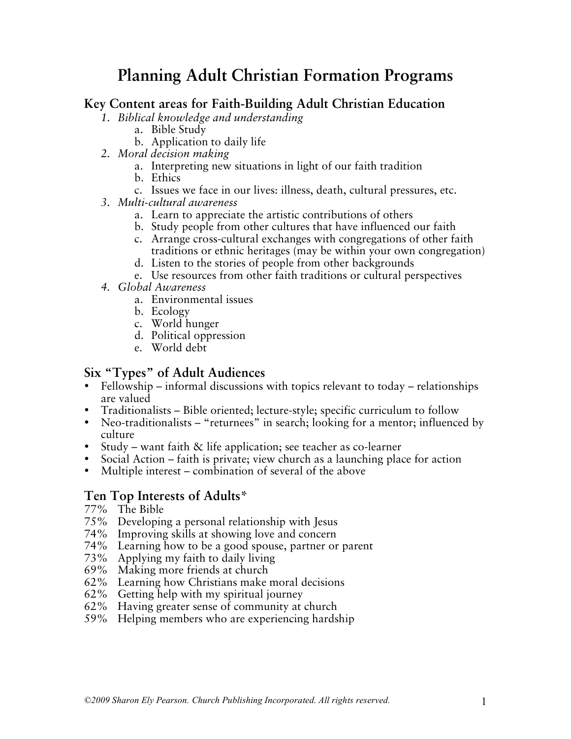## **Planning Adult Christian Formation Programs**

## **Key Content areas for Faith-Building Adult Christian Education**

*1. Biblical knowledge and understanding*

- a. Bible Study
- b. Application to daily life
- *2. Moral decision making*
	- a. Interpreting new situations in light of our faith tradition
	- b. Ethics
		- c. Issues we face in our lives: illness, death, cultural pressures, etc.
- *3. Multi-cultural awareness*
	- a. Learn to appreciate the artistic contributions of others
	- b. Study people from other cultures that have influenced our faith
	- c. Arrange cross-cultural exchanges with congregations of other faith traditions or ethnic heritages (may be within your own congregation)
	- d. Listen to the stories of people from other backgrounds
	- e. Use resources from other faith traditions or cultural perspectives
- *4. Global Awareness*
	- a. Environmental issues
	- b. Ecology
	- c. World hunger
	- d. Political oppression
	- e. World debt

## **Six "Types" of Adult Audiences**

- Fellowship informal discussions with topics relevant to today relationships are valued
- Traditionalists Bible oriented; lecture-style; specific curriculum to follow
- Neo-traditionalists "returnees" in search; looking for a mentor; influenced by culture
- Study want faith & life application; see teacher as co-learner
- Social Action faith is private; view church as a launching place for action
- Multiple interest combination of several of the above

## **Ten Top Interests of Adults\***

- 77% The Bible
- 75% Developing a personal relationship with Jesus
- 74% Improving skills at showing love and concern
- 74% Learning how to be a good spouse, partner or parent
- 73% Applying my faith to daily living
- 69% Making more friends at church
- 62% Learning how Christians make moral decisions
- 62% Getting help with my spiritual journey
- 62% Having greater sense of community at church
- 59% Helping members who are experiencing hardship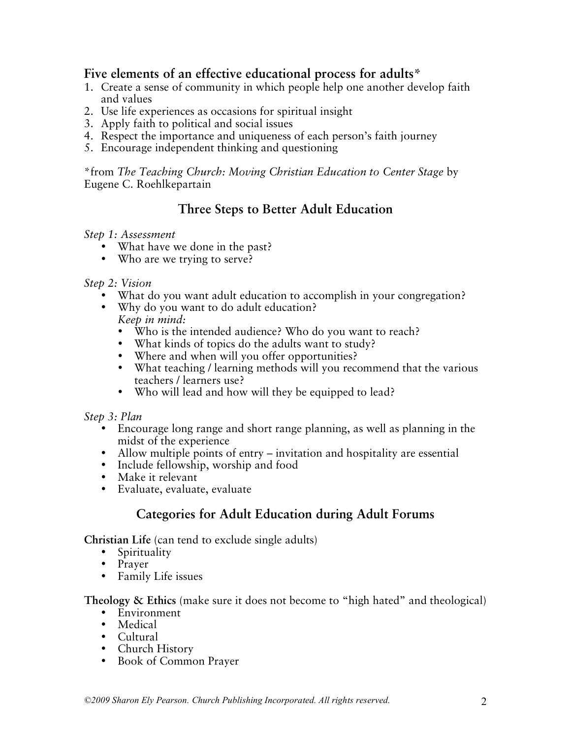## **Five elements of an effective educational process for adults\***

- 1. Create a sense of community in which people help one another develop faith and values
- 2. Use life experiences as occasions for spiritual insight
- 3. Apply faith to political and social issues
- 4. Respect the importance and uniqueness of each person's faith journey
- 5. Encourage independent thinking and questioning

\*from *The Teaching Church: Moving Christian Education to Center Stage* by Eugene C. Roehlkepartain

## **Three Steps to Better Adult Education**

#### *Step 1: Assessment*

- What have we done in the past?
- Who are we trying to serve?

#### *Step 2: Vision*

- What do you want adult education to accomplish in your congregation?
- Why do you want to do adult education? *Keep in mind:*
	- Who is the intended audience? Who do you want to reach?
	- What kinds of topics do the adults want to study?
	- Where and when will you offer opportunities?
	- What teaching / learning methods will you recommend that the various teachers / learners use?
	- Who will lead and how will they be equipped to lead?

#### *Step 3: Plan*

- Encourage long range and short range planning, as well as planning in the midst of the experience
- Allow multiple points of entry invitation and hospitality are essential
- Include fellowship, worship and food
- Make it relevant
- Evaluate, evaluate, evaluate

## **Categories for Adult Education during Adult Forums**

**Christian Life** (can tend to exclude single adults)

- Spirituality
- Prayer
- Family Life issues

**Theology & Ethics** (make sure it does not become to "high hated" and theological)

- Environment
- Medical
- Cultural
- Church History
- Book of Common Prayer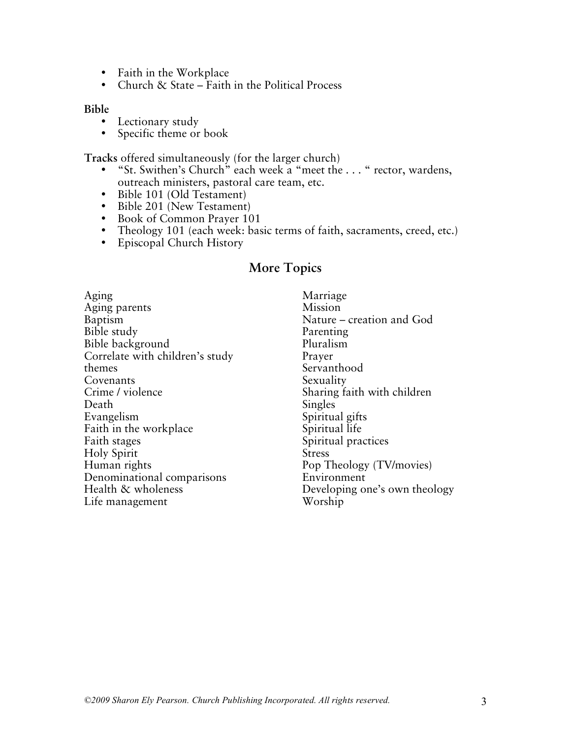- Faith in the Workplace
- Church & State Faith in the Political Process

#### **Bible**

- Lectionary study
- Specific theme or book

**Tracks** offered simultaneously (for the larger church)

- "St. Swithen's Church" each week a "meet the . . . " rector, wardens, outreach ministers, pastoral care team, etc.
- Bible 101 (Old Testament)
- Bible 201 (New Testament)
- Book of Common Prayer 101
- Theology 101 (each week: basic terms of faith, sacraments, creed, etc.)
- Episcopal Church History

## **More Topics**

Aging Aging parents Baptism Bible study Bible background Correlate with children's study themes Covenants Crime / violence Death Evangelism Faith in the workplace Faith stages Holy Spirit Human rights Denominational comparisons Health & wholeness Life management

Marriage Mission Nature – creation and God Parenting Pluralism Prayer Servanthood Sexuality Sharing faith with children Singles Spiritual gifts Spiritual life Spiritual practices Stress Pop Theology (TV/movies) Environment Developing one's own theology Worship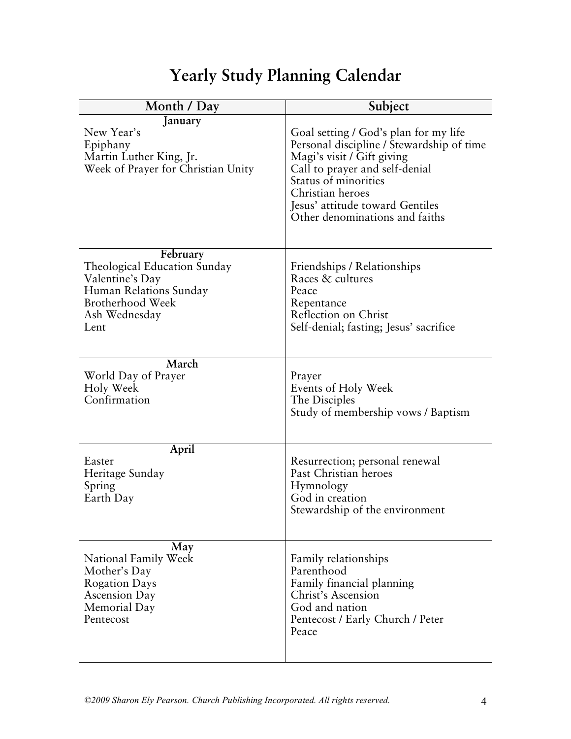# **Yearly Study Planning Calendar**

| Month / Day                                                                                                                               | Subject                                                                                                                                                                                                                                                             |
|-------------------------------------------------------------------------------------------------------------------------------------------|---------------------------------------------------------------------------------------------------------------------------------------------------------------------------------------------------------------------------------------------------------------------|
| January<br>New Year's<br>Epiphany<br>Martin Luther King, Jr.<br>Week of Prayer for Christian Unity                                        | Goal setting / God's plan for my life<br>Personal discipline / Stewardship of time<br>Magi's visit / Gift giving<br>Call to prayer and self-denial<br>Status of minorities<br>Christian heroes<br>Jesus' attitude toward Gentiles<br>Other denominations and faiths |
| February<br>Theological Education Sunday<br>Valentine's Day<br>Human Relations Sunday<br><b>Brotherhood Week</b><br>Ash Wednesday<br>Lent | Friendships / Relationships<br>Races & cultures<br>Peace<br>Repentance<br>Reflection on Christ<br>Self-denial; fasting; Jesus' sacrifice                                                                                                                            |
| March                                                                                                                                     | Prayer                                                                                                                                                                                                                                                              |
| World Day of Prayer                                                                                                                       | Events of Holy Week                                                                                                                                                                                                                                                 |
| Holy Week                                                                                                                                 | The Disciples                                                                                                                                                                                                                                                       |
| Confirmation                                                                                                                              | Study of membership vows / Baptism                                                                                                                                                                                                                                  |
| April                                                                                                                                     | Resurrection; personal renewal                                                                                                                                                                                                                                      |
| Easter                                                                                                                                    | Past Christian heroes                                                                                                                                                                                                                                               |
| Heritage Sunday                                                                                                                           | Hymnology                                                                                                                                                                                                                                                           |
| Spring                                                                                                                                    | God in creation                                                                                                                                                                                                                                                     |
| Earth Day                                                                                                                                 | Stewardship of the environment                                                                                                                                                                                                                                      |
| May                                                                                                                                       | Family relationships                                                                                                                                                                                                                                                |
| National Family Week                                                                                                                      | Parenthood                                                                                                                                                                                                                                                          |
| Mother's Day                                                                                                                              | Family financial planning                                                                                                                                                                                                                                           |
| <b>Rogation Days</b>                                                                                                                      | Christ's Ascension                                                                                                                                                                                                                                                  |
| <b>Ascension Day</b>                                                                                                                      | God and nation                                                                                                                                                                                                                                                      |
| Memorial Day                                                                                                                              | Pentecost / Early Church / Peter                                                                                                                                                                                                                                    |
| Pentecost                                                                                                                                 | Peace                                                                                                                                                                                                                                                               |